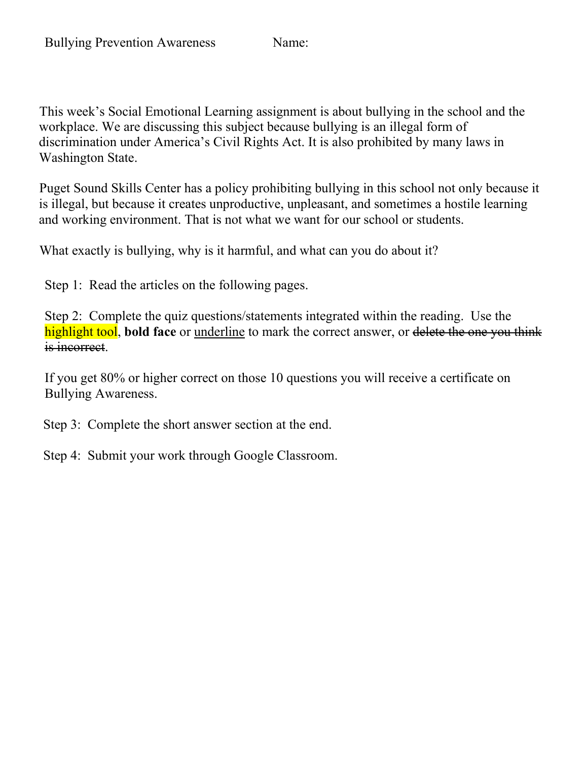This week's Social Emotional Learning assignment is about bullying in the school and the workplace. We are discussing this subject because bullying is an illegal form of discrimination under America's Civil Rights Act. It is also prohibited by many laws in Washington State.

Puget Sound Skills Center has a policy prohibiting bullying in this school not only because it is illegal, but because it creates unproductive, unpleasant, and sometimes a hostile learning and working environment. That is not what we want for our school or students.

What exactly is bullying, why is it harmful, and what can you do about it?

Step 1: Read the articles on the following pages.

Step 2: Complete the quiz questions/statements integrated within the reading. Use the highlight tool, **bold face** or underline to mark the correct answer, or delete the one you think is incorrect.

If you get 80% or higher correct on those 10 questions you will receive a certificate on Bullying Awareness.

Step 3: Complete the short answer section at the end.

Step 4: Submit your work through Google Classroom.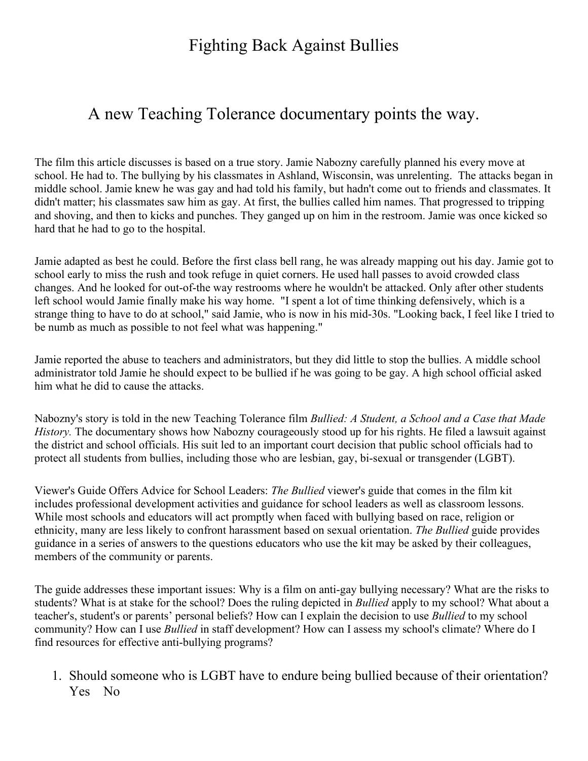## Fighting Back Against Bullies

## A new Teaching Tolerance documentary points the way.

The film this article discusses is based on a true story. Jamie Nabozny carefully planned his every move at school. He had to. The bullying by his classmates in Ashland, Wisconsin, was unrelenting. The attacks began in middle school. Jamie knew he was gay and had told his family, but hadn't come out to friends and classmates. It didn't matter; his classmates saw him as gay. At first, the bullies called him names. That progressed to tripping and shoving, and then to kicks and punches. They ganged up on him in the restroom. Jamie was once kicked so hard that he had to go to the hospital.

Jamie adapted as best he could. Before the first class bell rang, he was already mapping out his day. Jamie got to school early to miss the rush and took refuge in quiet corners. He used hall passes to avoid crowded class changes. And he looked for out-of-the way restrooms where he wouldn't be attacked. Only after other students left school would Jamie finally make his way home. "I spent a lot of time thinking defensively, which is a strange thing to have to do at school," said Jamie, who is now in his mid-30s. "Looking back, I feel like I tried to be numb as much as possible to not feel what was happening."

Jamie reported the abuse to teachers and administrators, but they did little to stop the bullies. A middle school administrator told Jamie he should expect to be bullied if he was going to be gay. A high school official asked him what he did to cause the attacks.

Nabozny's story is told in the new Teaching Tolerance film *Bullied: A Student, a School and a Case that Made History.* The documentary shows how Nabozny courageously stood up for his rights. He filed a lawsuit against the district and school officials. His suit led to an important court decision that public school officials had to protect all students from bullies, including those who are lesbian, gay, bi-sexual or transgender (LGBT).

Viewer's Guide Offers Advice for School Leaders: *The Bullied* viewer's guide that comes in the film kit includes professional development activities and guidance for school leaders as well as classroom lessons. While most schools and educators will act promptly when faced with bullying based on race, religion or ethnicity, many are less likely to confront harassment based on sexual orientation. *The Bullied* guide provides guidance in a series of answers to the questions educators who use the kit may be asked by their colleagues, members of the community or parents.

The guide addresses these important issues: Why is a film on anti-gay bullying necessary? What are the risks to students? What is at stake for the school? Does the ruling depicted in *Bullied* apply to my school? What about a teacher's, student's or parents' personal beliefs? How can I explain the decision to use *Bullied* to my school community? How can I use *Bullied* in staff development? How can I assess my school's climate? Where do I find resources for effective anti-bullying programs?

1. Should someone who is LGBT have to endure being bullied because of their orientation? Yes No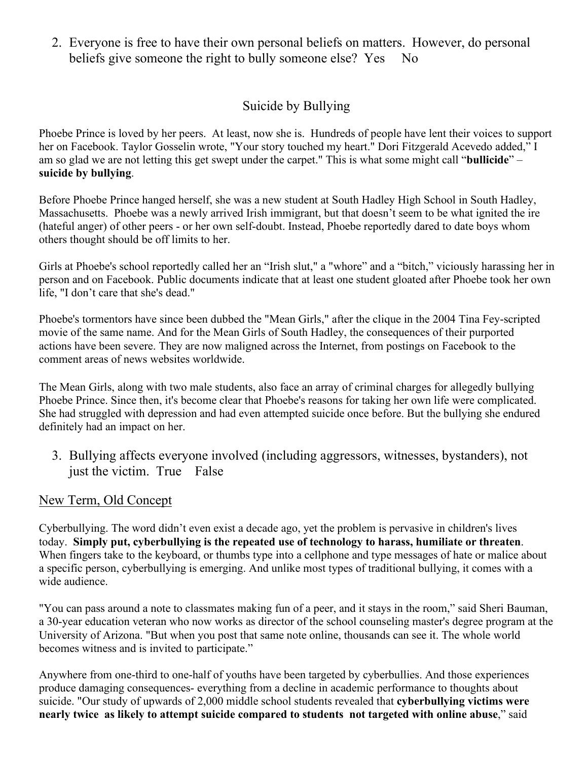2. Everyone is free to have their own personal beliefs on matters. However, do personal beliefs give someone the right to bully someone else? Yes No

#### Suicide by Bullying

Phoebe Prince is loved by her peers. At least, now she is. Hundreds of people have lent their voices to support her on Facebook. Taylor Gosselin wrote, "Your story touched my heart." Dori Fitzgerald Acevedo added," I am so glad we are not letting this get swept under the carpet." This is what some might call "**bullicide**" – **suicide by bullying**.

Before Phoebe Prince hanged herself, she was a new student at South Hadley High School in South Hadley, Massachusetts. Phoebe was a newly arrived Irish immigrant, but that doesn't seem to be what ignited the ire (hateful anger) of other peers - or her own self-doubt. Instead, Phoebe reportedly dared to date boys whom others thought should be off limits to her.

Girls at Phoebe's school reportedly called her an "Irish slut," a "whore" and a "bitch," viciously harassing her in person and on Facebook. Public documents indicate that at least one student gloated after Phoebe took her own life, "I don't care that she's dead."

Phoebe's tormentors have since been dubbed the "Mean Girls," after the clique in the 2004 Tina Fey-scripted movie of the same name. And for the Mean Girls of South Hadley, the consequences of their purported actions have been severe. They are now maligned across the Internet, from postings on Facebook to the comment areas of news websites worldwide.

The Mean Girls, along with two male students, also face an array of criminal charges for allegedly bullying Phoebe Prince. Since then, it's become clear that Phoebe's reasons for taking her own life were complicated. She had struggled with depression and had even attempted suicide once before. But the bullying she endured definitely had an impact on her.

3. Bullying affects everyone involved (including aggressors, witnesses, bystanders), not just the victim. True False

#### New Term, Old Concept

Cyberbullying. The word didn't even exist a decade ago, yet the problem is pervasive in children's lives today. **Simply put, cyberbullying is the repeated use of technology to harass, humiliate or threaten**. When fingers take to the keyboard, or thumbs type into a cellphone and type messages of hate or malice about a specific person, cyberbullying is emerging. And unlike most types of traditional bullying, it comes with a wide audience.

"You can pass around a note to classmates making fun of a peer, and it stays in the room," said Sheri Bauman, a 30-year education veteran who now works as director of the school counseling master's degree program at the University of Arizona. "But when you post that same note online, thousands can see it. The whole world becomes witness and is invited to participate."

Anywhere from one-third to one-half of youths have been targeted by cyberbullies. And those experiences produce damaging consequences- everything from a decline in academic performance to thoughts about suicide. "Our study of upwards of 2,000 middle school students revealed that **cyberbullying victims were nearly twice as likely to attempt suicide compared to students not targeted with online abuse**," said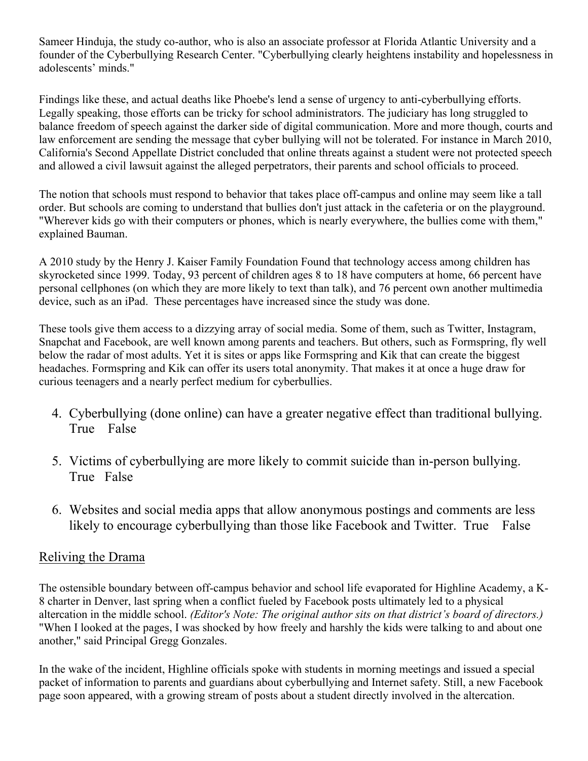Sameer Hinduja, the study co-author, who is also an associate professor at Florida Atlantic University and a founder of the Cyberbullying Research Center. "Cyberbullying clearly heightens instability and hopelessness in adolescents' minds."

Findings like these, and actual deaths like Phoebe's lend a sense of urgency to anti-cyberbullying efforts. Legally speaking, those efforts can be tricky for school administrators. The judiciary has long struggled to balance freedom of speech against the darker side of digital communication. More and more though, courts and law enforcement are sending the message that cyber bullying will not be tolerated. For instance in March 2010, California's Second Appellate District concluded that online threats against a student were not protected speech and allowed a civil lawsuit against the alleged perpetrators, their parents and school officials to proceed.

The notion that schools must respond to behavior that takes place off-campus and online may seem like a tall order. But schools are coming to understand that bullies don't just attack in the cafeteria or on the playground. "Wherever kids go with their computers or phones, which is nearly everywhere, the bullies come with them," explained Bauman.

A 2010 study by the Henry J. Kaiser Family Foundation Found that technology access among children has skyrocketed since 1999. Today, 93 percent of children ages 8 to 18 have computers at home, 66 percent have personal cellphones (on which they are more likely to text than talk), and 76 percent own another multimedia device, such as an iPad. These percentages have increased since the study was done.

These tools give them access to a dizzying array of social media. Some of them, such as Twitter, Instagram, Snapchat and Facebook, are well known among parents and teachers. But others, such as Formspring, fly well below the radar of most adults. Yet it is sites or apps like Formspring and Kik that can create the biggest headaches. Formspring and Kik can offer its users total anonymity. That makes it at once a huge draw for curious teenagers and a nearly perfect medium for cyberbullies.

- 4. Cyberbullying (done online) can have a greater negative effect than traditional bullying. True False
- 5. Victims of cyberbullying are more likely to commit suicide than in-person bullying. True False
- 6. Websites and social media apps that allow anonymous postings and comments are less likely to encourage cyberbullying than those like Facebook and Twitter. True False

#### Reliving the Drama

The ostensible boundary between off-campus behavior and school life evaporated for Highline Academy, a K-8 charter in Denver, last spring when a conflict fueled by Facebook posts ultimately led to a physical altercation in the middle school. *(Editor's Note: The original author sits on that district's board of directors.)*  "When I looked at the pages, I was shocked by how freely and harshly the kids were talking to and about one another," said Principal Gregg Gonzales.

In the wake of the incident, Highline officials spoke with students in morning meetings and issued a special packet of information to parents and guardians about cyberbullying and Internet safety. Still, a new Facebook page soon appeared, with a growing stream of posts about a student directly involved in the altercation.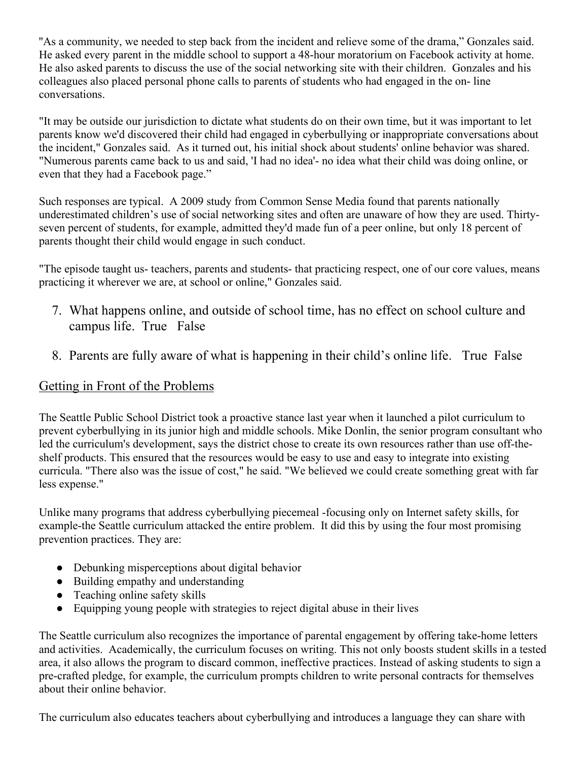''As a community, we needed to step back from the incident and relieve some of the drama," Gonzales said. He asked every parent in the middle school to support a 48-hour moratorium on Facebook activity at home. He also asked parents to discuss the use of the social networking site with their children. Gonzales and his colleagues also placed personal phone calls to parents of students who had engaged in the on- line conversations.

"It may be outside our jurisdiction to dictate what students do on their own time, but it was important to let parents know we'd discovered their child had engaged in cyberbullying or inappropriate conversations about the incident," Gonzales said. As it turned out, his initial shock about students' online behavior was shared. "Numerous parents came back to us and said, 'I had no idea'- no idea what their child was doing online, or even that they had a Facebook page."

Such responses are typical. A 2009 study from Common Sense Media found that parents nationally underestimated children's use of social networking sites and often are unaware of how they are used. Thirtyseven percent of students, for example, admitted they'd made fun of a peer online, but only 18 percent of parents thought their child would engage in such conduct.

"The episode taught us- teachers, parents and students- that practicing respect, one of our core values, means practicing it wherever we are, at school or online," Gonzales said.

- 7. What happens online, and outside of school time, has no effect on school culture and campus life. True False
- 8. Parents are fully aware of what is happening in their child's online life. True False

#### Getting in Front of the Problems

The Seattle Public School District took a proactive stance last year when it launched a pilot curriculum to prevent cyberbullying in its junior high and middle schools. Mike Donlin, the senior program consultant who led the curriculum's development, says the district chose to create its own resources rather than use off-theshelf products. This ensured that the resources would be easy to use and easy to integrate into existing curricula. "There also was the issue of cost," he said. "We believed we could create something great with far less expense."

Unlike many programs that address cyberbullying piecemeal -focusing only on Internet safety skills, for example-the Seattle curriculum attacked the entire problem. It did this by using the four most promising prevention practices. They are:

- Debunking misperceptions about digital behavior
- Building empathy and understanding
- Teaching online safety skills
- Equipping young people with strategies to reject digital abuse in their lives

The Seattle curriculum also recognizes the importance of parental engagement by offering take-home letters and activities. Academically, the curriculum focuses on writing. This not only boosts student skills in a tested area, it also allows the program to discard common, ineffective practices. Instead of asking students to sign a pre-crafted pledge, for example, the curriculum prompts children to write personal contracts for themselves about their online behavior.

The curriculum also educates teachers about cyberbullying and introduces a language they can share with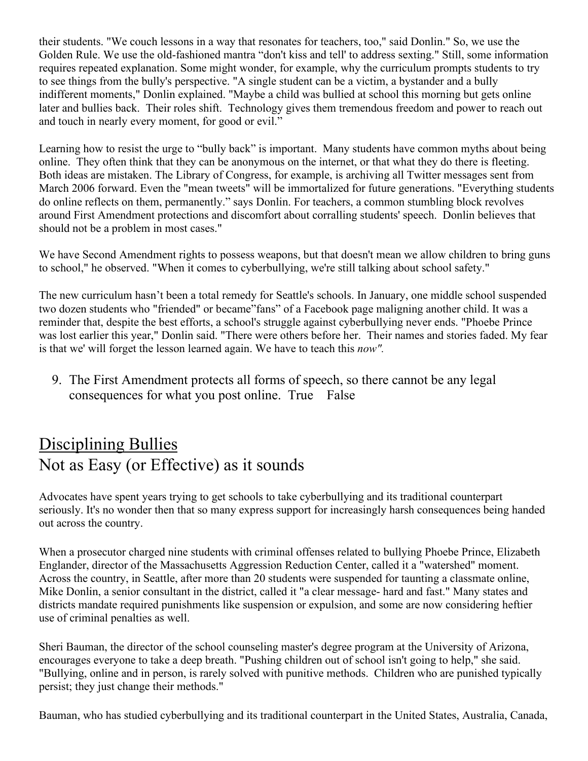their students. "We couch lessons in a way that resonates for teachers, too," said Donlin." So, we use the Golden Rule. We use the old-fashioned mantra "don't kiss and tell' to address sexting." Still, some information requires repeated explanation. Some might wonder, for example, why the curriculum prompts students to try to see things from the bully's perspective. "A single student can be a victim, a bystander and a bully indifferent moments," Donlin explained. "Maybe a child was bullied at school this morning but gets online later and bullies back. Their roles shift. Technology gives them tremendous freedom and power to reach out and touch in nearly every moment, for good or evil."

Learning how to resist the urge to "bully back" is important. Many students have common myths about being online. They often think that they can be anonymous on the internet, or that what they do there is fleeting. Both ideas are mistaken. The Library of Congress, for example, is archiving all Twitter messages sent from March 2006 forward. Even the "mean tweets" will be immortalized for future generations. "Everything students do online reflects on them, permanently." says Donlin. For teachers, a common stumbling block revolves around First Amendment protections and discomfort about corralling students' speech. Donlin believes that should not be a problem in most cases."

We have Second Amendment rights to possess weapons, but that doesn't mean we allow children to bring guns to school," he observed. "When it comes to cyberbullying, we're still talking about school safety."

The new curriculum hasn't been a total remedy for Seattle's schools. In January, one middle school suspended two dozen students who "friended" or became"fans" of a Facebook page maligning another child. It was a reminder that, despite the best efforts, a school's struggle against cyberbullying never ends. "Phoebe Prince was lost earlier this year," Donlin said. "There were others before her. Their names and stories faded. My fear is that we' will forget the lesson learned again. We have to teach this *now".*

9. The First Amendment protects all forms of speech, so there cannot be any legal consequences for what you post online. True False

# Disciplining Bullies Not as Easy (or Effective) as it sounds

Advocates have spent years trying to get schools to take cyberbullying and its traditional counterpart seriously. It's no wonder then that so many express support for increasingly harsh consequences being handed out across the country.

When a prosecutor charged nine students with criminal offenses related to bullying Phoebe Prince, Elizabeth Englander, director of the Massachusetts Aggression Reduction Center, called it a "watershed" moment. Across the country, in Seattle, after more than 20 students were suspended for taunting a classmate online, Mike Donlin, a senior consultant in the district, called it "a clear message- hard and fast." Many states and districts mandate required punishments like suspension or expulsion, and some are now considering heftier use of criminal penalties as well.

Sheri Bauman, the director of the school counseling master's degree program at the University of Arizona, encourages everyone to take a deep breath. "Pushing children out of school isn't going to help," she said. "Bullying, online and in person, is rarely solved with punitive methods. Children who are punished typically persist; they just change their methods."

Bauman, who has studied cyberbullying and its traditional counterpart in the United States, Australia, Canada,